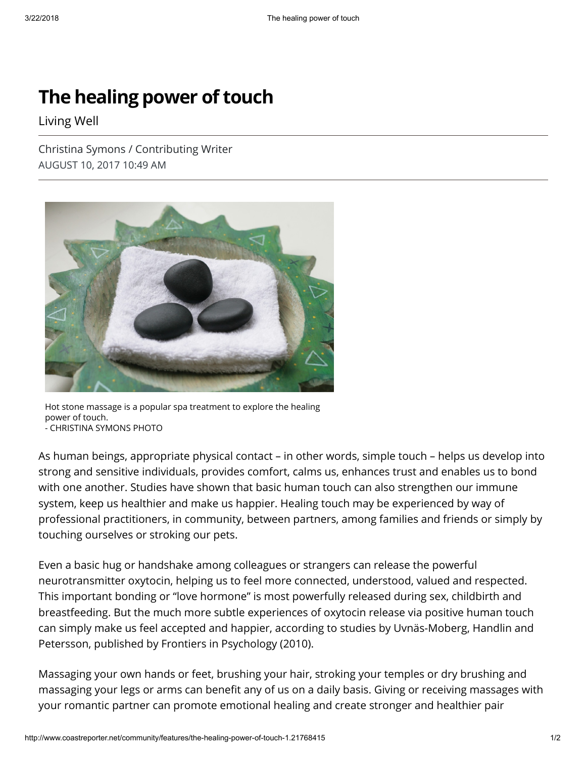## The healing power of touch

Living Well

Christina Symons / Contributing Writer AUGUST 10, 2017 10:49 AM



Hot stone massage is a popular spa treatment to explore the healing power of touch.

- CHRISTINA SYMONS PHOTO

As human beings, appropriate physical contact – in other words, simple touch – helps us develop into strong and sensitive individuals, provides comfort, calms us, enhances trust and enables us to bond with one another. Studies have shown that basic human touch can also strengthen our immune system, keep us healthier and make us happier. Healing touch may be experienced by way of professional practitioners, in community, between partners, among families and friends or simply by touching ourselves or stroking our pets.

Even a basic hug or handshake among colleagues or strangers can release the powerful neurotransmitter oxytocin, helping us to feel more connected, understood, valued and respected. This important bonding or "love hormone" is most powerfully released during sex, childbirth and breastfeeding. But the much more subtle experiences of oxytocin release via positive human touch can simply make us feel accepted and happier, according to studies by Uvnäs-Moberg, Handlin and Petersson, published by Frontiers in Psychology (2010).

Massaging your own hands or feet, brushing your hair, stroking your temples or dry brushing and massaging your legs or arms can benefit any of us on a daily basis. Giving or receiving massages with your romantic partner can promote emotional healing and create stronger and healthier pair